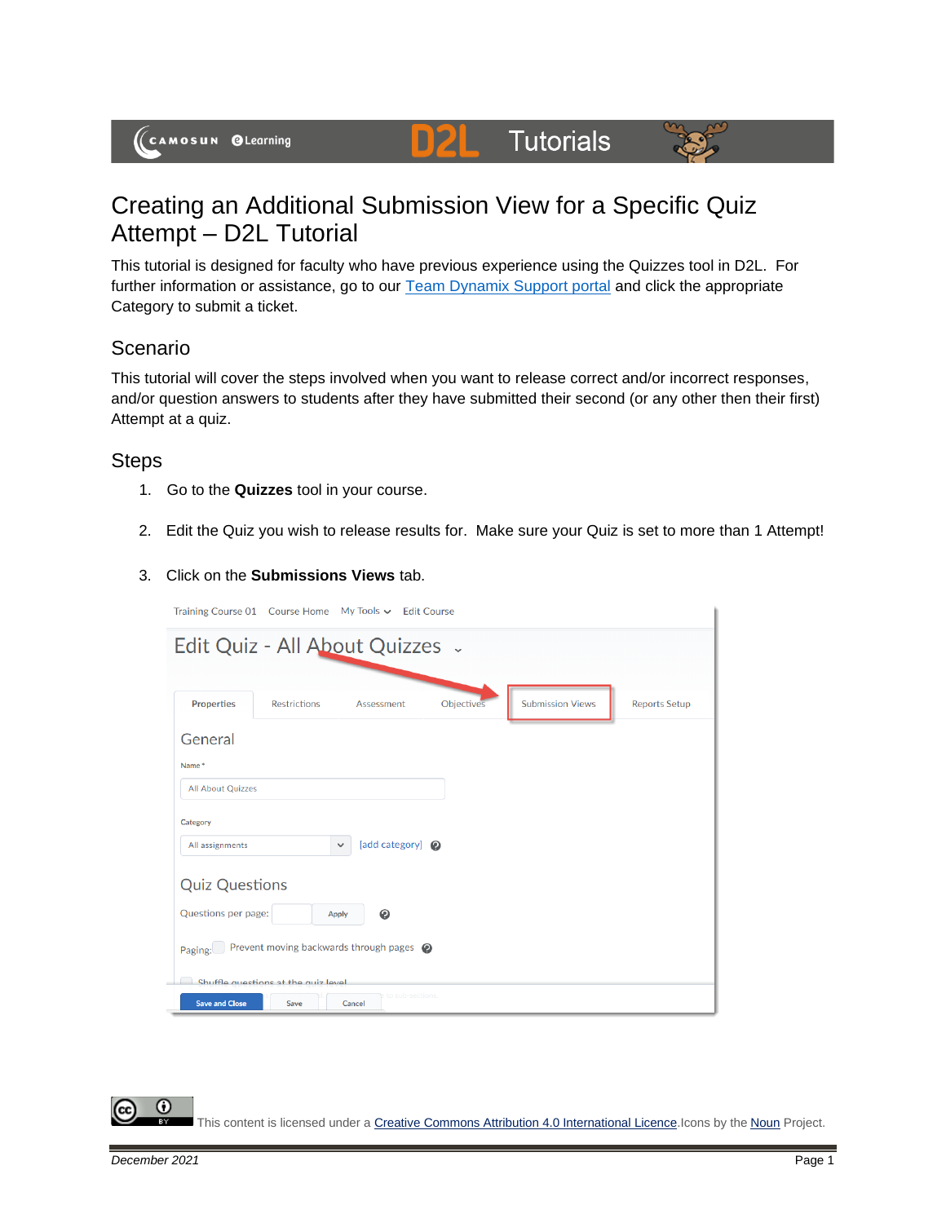# **Tutorials**



# Creating an Additional Submission View for a Specific Quiz Attempt – D2L Tutorial

DŽ

This tutorial is designed for faculty who have previous experience using the Quizzes tool in D2L. For further information or assistance, go to our **Team Dynamix Support portal** and click the appropriate Category to submit a ticket.

### **Scenario**

This tutorial will cover the steps involved when you want to release correct and/or incorrect responses, and/or question answers to students after they have submitted their second (or any other then their first) Attempt at a quiz.

#### Steps

- 1. Go to the **Quizzes** tool in your course.
- 2. Edit the Quiz you wish to release results for. Make sure your Quiz is set to more than 1 Attempt!

#### 3. Click on the **Submissions Views** tab.

|                          | Training Course 01 Course Home My Tools v Edit Course |                                  |            |                         |                      |
|--------------------------|-------------------------------------------------------|----------------------------------|------------|-------------------------|----------------------|
|                          | Edit Quiz - All About Quizzes .                       |                                  |            |                         |                      |
|                          |                                                       |                                  |            |                         |                      |
| <b>Properties</b>        | <b>Restrictions</b>                                   | Assessment                       | Objectives | <b>Submission Views</b> | <b>Reports Setup</b> |
| General                  |                                                       |                                  |            |                         |                      |
| Name*                    |                                                       |                                  |            |                         |                      |
| <b>All About Quizzes</b> |                                                       |                                  |            |                         |                      |
| Category                 |                                                       |                                  |            |                         |                      |
| All assignments          |                                                       | [add category] @<br>$\checkmark$ |            |                         |                      |
| <b>Quiz Questions</b>    |                                                       |                                  |            |                         |                      |
| Questions per page:      | <b>Apply</b>                                          | ℯ                                |            |                         |                      |
| Paging:                  | Prevent moving backwards through pages @              |                                  |            |                         |                      |
| <b>Save and Close</b>    | Shuffle questions of the quiz level<br><b>Save</b>    | to sub-sections<br>Cancel        |            |                         |                      |
|                          |                                                       |                                  |            |                         |                      |

G This content is licensed under [a Creative Commons Attribution 4.0 International Licence.I](https://creativecommons.org/licenses/by/4.0/)cons by the [Noun](https://creativecommons.org/website-icons/) Project.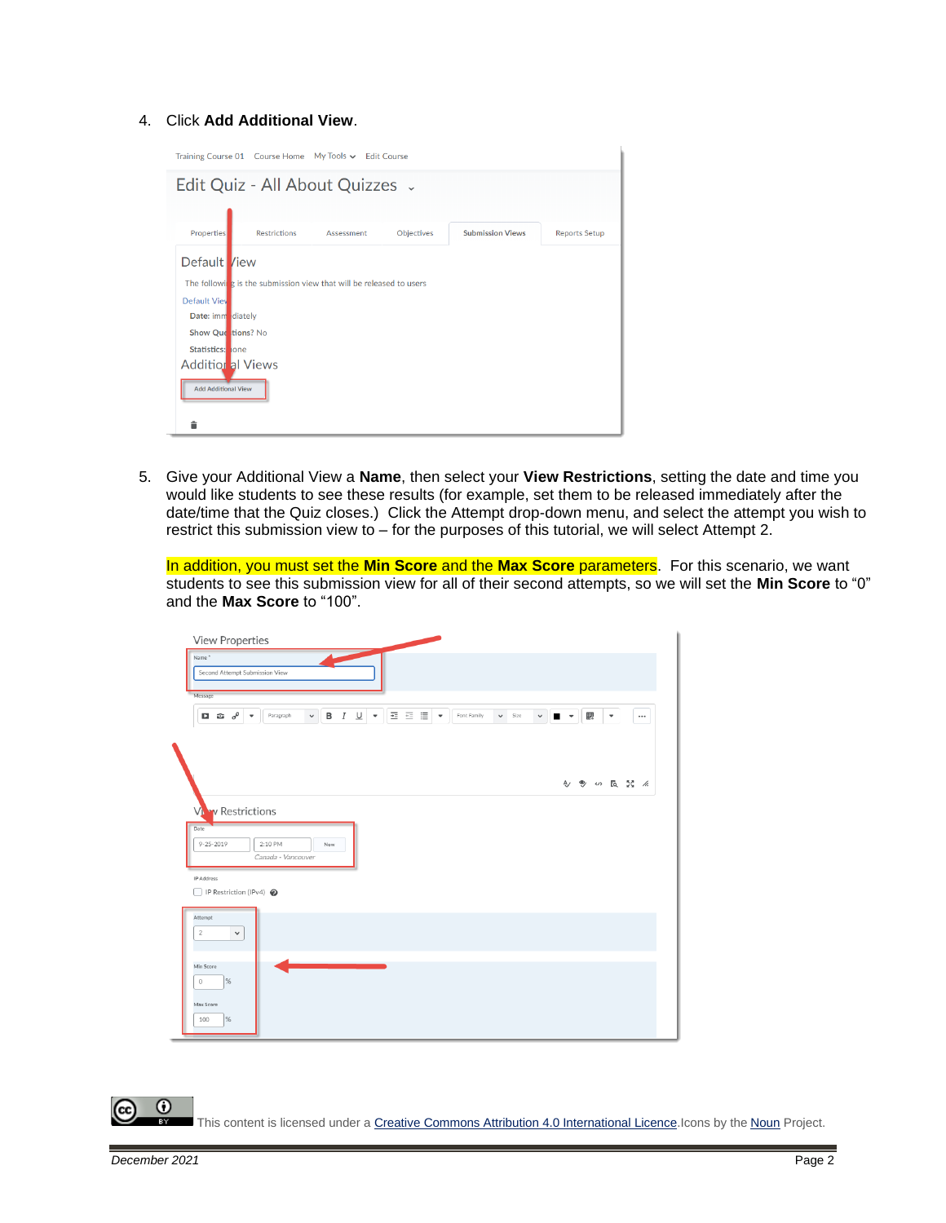#### 4. Click **Add Additional View**.

| Training Course 01 Course Home My Tools v Edit Course |                     |                                                                     |                   |                         |                      |
|-------------------------------------------------------|---------------------|---------------------------------------------------------------------|-------------------|-------------------------|----------------------|
| Edit Quiz - All About Quizzes .                       |                     |                                                                     |                   |                         |                      |
|                                                       |                     |                                                                     |                   |                         |                      |
| <b>Properties</b>                                     | <b>Restrictions</b> | Assessment                                                          | <b>Objectives</b> | <b>Submission Views</b> | <b>Reports Setup</b> |
| Default /iew                                          |                     |                                                                     |                   |                         |                      |
|                                                       |                     | The following is the submission view that will be released to users |                   |                         |                      |
| Default View                                          |                     |                                                                     |                   |                         |                      |
| Date: imm diately                                     |                     |                                                                     |                   |                         |                      |
| Show Que tions? No                                    |                     |                                                                     |                   |                         |                      |
| Statistics: hone                                      |                     |                                                                     |                   |                         |                      |
| <b>Additional Views</b>                               |                     |                                                                     |                   |                         |                      |
| <b>Add Additional View</b>                            |                     |                                                                     |                   |                         |                      |
|                                                       |                     |                                                                     |                   |                         |                      |

5. Give your Additional View a **Name**, then select your **View Restrictions**, setting the date and time you would like students to see these results (for example, set them to be released immediately after the date/time that the Quiz closes.) Click the Attempt drop-down menu, and select the attempt you wish to restrict this submission view to – for the purposes of this tutorial, we will select Attempt 2.

In addition, you must set the **Min Score** and the **Max Score** parameters. For this scenario, we want students to see this submission view for all of their second attempts, so we will set the **Min Score** to "0" and the **Max Score** to "100".

| View Properties                                               |                    |                   |                                             |      |             |             |              |                |   |                          |             |
|---------------------------------------------------------------|--------------------|-------------------|---------------------------------------------|------|-------------|-------------|--------------|----------------|---|--------------------------|-------------|
| Name <sup>*</sup>                                             |                    |                   |                                             |      |             |             |              |                |   |                          |             |
| Second Attempt Submission View                                |                    |                   |                                             |      |             |             |              |                |   |                          |             |
| Message                                                       |                    |                   |                                             |      |             |             |              |                |   |                          |             |
| $\Box$ $\hat{\omega}$ $o^{\circ}$<br>$\overline{\phantom{a}}$ | Paragraph          | в<br>$\checkmark$ | $\underline{\cup}$<br>$\cal I$<br>$\;$ $\;$ | 西西雷米 | Font Family | $\vee$ Size | $\checkmark$ | $\blacksquare$ | 騦 | $\overline{\phantom{a}}$ | $\cdots$    |
|                                                               |                    |                   |                                             |      |             |             |              |                |   |                          |             |
|                                                               |                    |                   |                                             |      |             |             |              |                |   |                          |             |
|                                                               |                    |                   |                                             |      |             |             |              |                |   |                          |             |
|                                                               |                    |                   |                                             |      |             |             |              |                |   |                          | 今 9 5 区 2 % |
|                                                               |                    |                   |                                             |      |             |             |              |                |   |                          |             |
| <b>Viv</b> Restrictions                                       |                    |                   |                                             |      |             |             |              |                |   |                          |             |
| Date                                                          |                    |                   |                                             |      |             |             |              |                |   |                          |             |
| $9 - 25 - 2019$                                               | 2:10 PM            | Now               |                                             |      |             |             |              |                |   |                          |             |
|                                                               | Canada - Vancouver |                   |                                             |      |             |             |              |                |   |                          |             |
| IP Address                                                    |                    |                   |                                             |      |             |             |              |                |   |                          |             |
| P Restriction (IPv4)                                          |                    |                   |                                             |      |             |             |              |                |   |                          |             |
| Attempt                                                       |                    |                   |                                             |      |             |             |              |                |   |                          |             |
| $\overline{2}$<br>$\check{~}$                                 |                    |                   |                                             |      |             |             |              |                |   |                          |             |
|                                                               |                    |                   |                                             |      |             |             |              |                |   |                          |             |
| Min Score                                                     |                    |                   |                                             |      |             |             |              |                |   |                          |             |
|                                                               |                    |                   |                                             |      |             |             |              |                |   |                          |             |
| %<br>$\mathbb O$                                              |                    |                   |                                             |      |             |             |              |                |   |                          |             |
|                                                               |                    |                   |                                             |      |             |             |              |                |   |                          |             |
| Max Score<br>%<br>100                                         |                    |                   |                                             |      |             |             |              |                |   |                          |             |

 $\odot$ This content is licensed under [a Creative Commons Attribution 4.0 International Licence.I](https://creativecommons.org/licenses/by/4.0/)cons by the [Noun](https://creativecommons.org/website-icons/) Project.